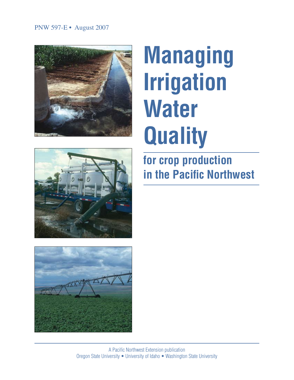# PNW 597-E • August 2007







# **Managing Irrigation Water Quality**

**for crop production in the Pacific Northwest**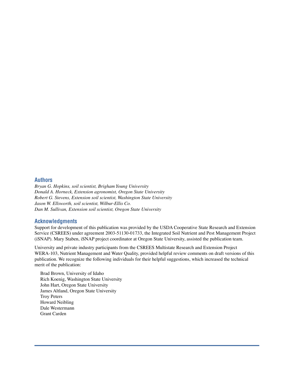#### **Authors**

*Bryan G. Hopkins, soil scientist, Brigham Young University Donald A. Horneck, Extension agronomist, Oregon State University Robert G. Stevens, Extension soil scientist, Washington State University Jason W. Ellsworth, soil scientist, Wilbur-Ellis Co. Dan M. Sullivan, Extension soil scientist, Oregon State University*

#### **Acknowledgments**

Support for development of this publication was provided by the USDA Cooperative State Research and Extension Service (CSREES) under agreement 2003-51130-01733, the Integrated Soil Nutrient and Pest Management Project (iSNAP). Mary Staben, iSNAP project coordinator at Oregon State University, assisted the publication team.

University and private industry participants from the CSREES Multistate Research and Extension Project WERA-103, Nutrient Management and Water Quality, provided helpful review comments on draft versions of this publication. We recognize the following individuals for their helpful suggestions, which increased the technical merit of the publication:

Brad Brown, University of Idaho Rich Koenig, Washington State University John Hart, Oregon State University James Altland, Oregon State University Troy Peters Howard Neibling Dale Westermann Grant Carden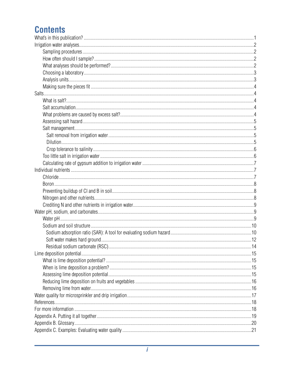# **Contents**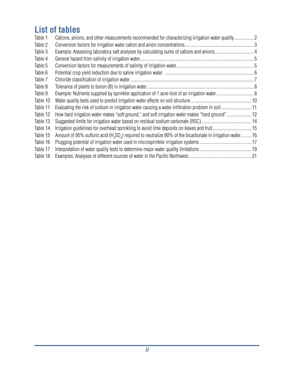# **List of tables**

| Table 1  | Cations, anions, and other measurements recommended for characterizing irrigation water quality2                                  |  |
|----------|-----------------------------------------------------------------------------------------------------------------------------------|--|
| Table 2  |                                                                                                                                   |  |
| Table 3  |                                                                                                                                   |  |
| Table 4  |                                                                                                                                   |  |
| Table 5  |                                                                                                                                   |  |
| Table 6  |                                                                                                                                   |  |
| Table 7  |                                                                                                                                   |  |
| Table 8  |                                                                                                                                   |  |
| Table 9  |                                                                                                                                   |  |
| Table 10 |                                                                                                                                   |  |
| Table 11 |                                                                                                                                   |  |
| Table 12 | How hard irrigation water makes "soft ground," and soft irrigation water makes "hard ground" 12                                   |  |
| Table 13 |                                                                                                                                   |  |
| Table 14 |                                                                                                                                   |  |
| Table 15 | Amount of 95% sulfuric acid (H <sub>2</sub> SO <sub>2</sub> ) required to neutralize 90% of the bicarbonate in irrigation water16 |  |
| Table 16 |                                                                                                                                   |  |
| Table 17 |                                                                                                                                   |  |
| Table 18 |                                                                                                                                   |  |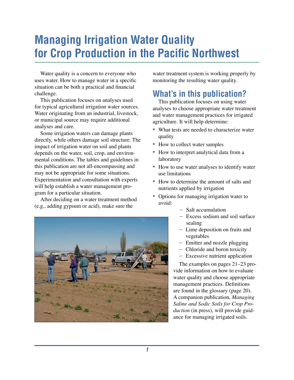# **Managing Irrigation Water Quality for Crop Production in the Pacific Northwest**

Water quality is a concern to everyone who uses water. How to manage water in a specific situation can be both a practical and financial challenge.

This publication focuses on analyses used for typical agricultural irrigation water sources. Water originating from an industrial, livestock, or municipal source may require additional analyses and care.

Some irrigation waters can damage plants directly, while others damage soil structure. The impact of irrigation water on soil and plants depends on the water, soil, crop, and environmental conditions. The tables and guidelines in this publication are not all-encompassing and may not be appropriate for some situations. Experimentation and consultation with experts will help establish a water management program for a particular situation.

After deciding on a water treatment method (e.g., adding gypsum or acid), make sure the

water treatment system is working properly by monitoring the resulting water quality.

# **What's in this publication?**

This publication focuses on using water analyses to choose appropriate water treatment and water management practices for irrigated agriculture. It will help determine:

- *•* What tests are needed to characterize water quality
- How to collect water samples
- *•* How to interpret analytical data from a laboratory
- How to use water analyses to identify water use limitations
- How to determine the amount of salts and nutrients applied by irrigation
- Options for managing irrigation water to avoid:
	- Salt accumulation
	- Excess sodium and soil surface sealing
	- Lime deposition on fruits and vegetables
	- Emitter and nozzle plugging
	- Chloride and boron toxicity
	- Excessive nutrient application

The examples on pages 21–23 provide information on how to evaluate water quality and choose appropriate management practices. Definitions are found in the glossary (page 20). A companion publication, *Managing Saline and Sodic Soils for Crop Production* (in press), will provide guidance for managing irrigated soils.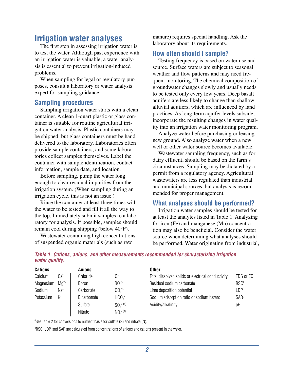# **Irrigation water analyses**

The first step in assessing irrigation water is to test the water. Although past experience with an irrigation water is valuable, a water analysis is essential to prevent irrigation-induced problems.

When sampling for legal or regulatory purposes, consult a laboratory or water analysis expert for sampling guidance.

## **Sampling procedures**

Sampling irrigation water starts with a clean container. A clean 1-quart plastic or glass container is suitable for routine agricultural irrigation water analysis. Plastic containers may be shipped, but glass containers must be hand delivered to the laboratory. Laboratories often provide sample containers, and some laboratories collect samples themselves. Label the container with sample identification, contact information, sample date, and location.

Before sampling, pump the water long enough to clear residual impurities from the irrigation system. (When sampling during an irrigation cycle, this is not an issue.)

Rinse the container at least three times with the water to be tested and fill it all the way to the top. Immediately submit samples to a laboratory for analysis. If possible, samples should remain cool during shipping (below 40°F).

Wastewater containing high concentrations of suspended organic materials (such as raw

manure) requires special handling. Ask the laboratory about its requirements.

## **How often should I sample?**

Testing frequency is based on water use and source. Surface waters are subject to seasonal weather and flow patterns and may need frequent monitoring. The chemical composition of groundwater changes slowly and usually needs to be tested only every few years. Deep basalt aquifers are less likely to change than shallow alluvial aquifers, which are influenced by land practices. As long-term aquifer levels subside, incorporate the resulting changes in water quality into an irrigation water monitoring program.

Analyze water before purchasing or leasing new ground. Also analyze water when a new well or other water source becomes available.

Wastewater sampling frequency, such as for dairy effluent, should be based on the farm's circumstances. Sampling may be dictated by a permit from a regulatory agency. Agricultural wastewaters are less regulated than industrial and municipal sources, but analysis is recommended for proper management.

## **What analyses should be performed?**

Irrigation water samples should be tested for at least the analytes listed in Table 1. Analyzing for iron (Fe) and manganese (Mn) concentration may also be beneficial. Consider the water source when determining what analyses should be performed. Water originating from industrial,

| <b>Cations</b> |                 | <b>Anions</b> |                              | <b>Other</b>                                      |                  |
|----------------|-----------------|---------------|------------------------------|---------------------------------------------------|------------------|
|                |                 |               |                              |                                                   |                  |
| Calcium        | $Ca2+$          | Chloride      | Cŀ                           | Total dissolved solids or electrical conductivity | TDS or EC        |
| Magnesium      | $Ma^{2+}$       | <b>Boron</b>  | BO <sub>3</sub> <sup>3</sup> | Residual sodium carbonate                         | <b>RSCb</b>      |
| Sodium         | Na <sup>+</sup> | Carbonate     | CO <sub>3</sub> <sup>2</sup> | Lime deposition potential                         | <b>LDPb</b>      |
| Potassium      | $K^+$           | Bicarbonate   | HCO <sub>3</sub>             | Sodium adsorption ratio or sodium hazard          | SAR <sup>b</sup> |
|                |                 | Sulfate       | $SO_4^{2-(a)}$               | Acidity/alkalinity                                | рH               |
|                |                 | Nitrate       | $NO_3^{-(a)}$                |                                                   |                  |

|                |  |  | Table 1. Cations, anions, and other measurements recommended for characterizing irrigation |  |
|----------------|--|--|--------------------------------------------------------------------------------------------|--|
| water quality. |  |  |                                                                                            |  |

<sup>a</sup>See Table 2 for conversions to nutrient basis for sulfate (S) and nitrate (N).

<sup>b</sup>RSC, LDP, and SAR are calculated from concentrations of anions and cations present in the water.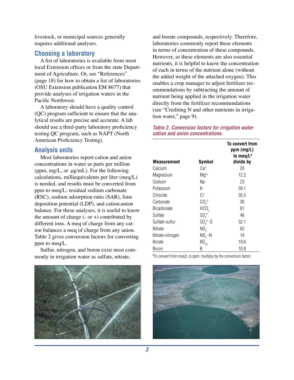livestock, or municipal sources generally requires additional analyses.

### **Choosing a laboratory**

A list of laboratories is available from most local Extension offices or from the state Department of Agriculture. Or, see "References" (page 18) for how to obtain a list of laboratories (OSU Extension publication EM 8677) that provide analyses of irrigation waters in the Pacific Northwest.

A laboratory should have a quality control (QC) program sufficient to ensure that the analytical results are precise and accurate. A lab should use a third-party laboratory proficiency testing QC program, such as NAPT (North American Proficiency Testing).

#### **Analysis units**

Most laboratories report cation and anion concentrations in water as parts per million (ppm, mg/L, or *µ*g/mL). For the following calculations, milliequivalents per liter (meq/L) is needed, and results must be converted from ppm to meq/L: residual sodium carbonate (RSC), sodium adsorption ratio (SAR), lime deposition potential (LDP), and cation:anion balance. For these analyses, it is useful to know the amount of charge  $(-$  or  $+)$  contributed by different ions. A meq of charge from any cation balances a meq of charge from any anion. Table 2 gives conversion factors for converting ppm to meq/L.

Sulfur, nitrogen, and boron exist most commonly in irrigation water as sulfate, nitrate,



and borate compounds, respectively. Therefore, laboratories commonly report these elements in terms of concentration of these compounds. However, as these elements are also essential nutrients, it is helpful to know the concentration of each in terms of the nutrient alone (without the added weight of the attached oxygen). This enables a crop manager to adjust fertilizer recommendations by subtracting the amount of nutrient being applied in the irrigation water directly from the fertilizer recommendations (see "Crediting N and other nutrients in irrigation water," page 9).

#### *Table 2. Conversion factors for irrigation water cation and anion concentrations.*

| Measurement        | <b>Symbol</b>                | To convert from<br>$ppm$ (mg/L)<br>to meg/Lª<br>divide by |
|--------------------|------------------------------|-----------------------------------------------------------|
| Calcium            | $Ca^{2+}$                    | 20                                                        |
| Magnesium          | $Mq^{2+}$                    | 12.2                                                      |
| Sodium             | $Na+$                        | 23                                                        |
| Potassium          | K+                           | 39.1                                                      |
| Chloride           | Cŀ                           | 35.5                                                      |
| Carbonate          | CO <sub>3</sub> <sup>2</sup> | 30                                                        |
| <b>Bicarbonate</b> | HCO <sub>3</sub>             | 61                                                        |
| Sulfate            | $SO_4^{2-}$                  | 48                                                        |
| Sulfate-sulfur     | $SO_4^2 - S$                 | 32.1                                                      |
| Nitrate            | NO <sub>2</sub>              | 62                                                        |
| Nitrate-nitrogen   | $NO3-N$                      | 14                                                        |
| <b>Borate</b>      | BO <sub>33</sub>             | 19.6                                                      |
| Boron              | B                            | 10.8                                                      |

<sup>a</sup>To convert from meq/L to ppm, multiply by the conversion factor.

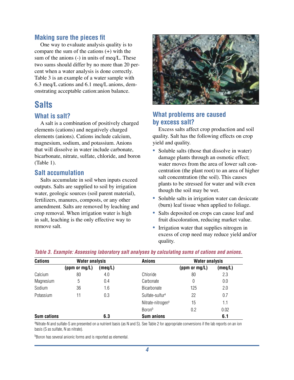#### **Making sure the pieces fit**

One way to evaluate analysis quality is to compare the sum of the cations (+) with the sum of the anions (-) in units of meq/L. These two sums should differ by no more than 20 percent when a water analysis is done correctly. Table 3 is an example of a water sample with 6.3 meq/L cations and 6.1 meq/L anions, demonstrating acceptable cation:anion balance.

# **Salts**

#### **What is salt?**

A salt is a combination of positively charged elements (cations) and negatively charged elements (anions). Cations include calcium, magnesium, sodium, and potassium. Anions that will dissolve in water include carbonate, bicarbonate, nitrate, sulfate, chloride, and boron (Table 1).

#### **Salt accumulation**

Salts accumulate in soil when inputs exceed outputs. Salts are supplied to soil by irrigation water, geologic sources (soil parent material), fertilizers, manures, composts, or any other amendment. Salts are removed by leaching and crop removal. When irrigation water is high in salt, leaching is the only effective way to remove salt.



## **What problems are caused by excess salt?**

Excess salts affect crop production and soil quality. Salt has the following effects on crop yield and quality.

- Soluble salts (those that dissolve in water) damage plants through an osmotic effect; water moves from the area of lower salt concentration (the plant root) to an area of higher salt concentration (the soil). This causes plants to be stressed for water and wilt even though the soil may be wet.
- Soluble salts in irrigation water can desiccate (burn) leaf tissue when applied to foliage.
- *•* Salts deposited on crops can cause leaf and fruit discoloration, reducing market value.
- Irrigation water that supplies nitrogen in excess of crop need may reduce yield and/or quality.

| <b>Cations</b>     | <b>Water analysis</b> |         | <b>Anions</b>                 | <b>Water analysis</b> |         |
|--------------------|-----------------------|---------|-------------------------------|-----------------------|---------|
|                    | (ppm or mg/L)         | (meq/L) |                               | (ppm or $mg/L$ )      | (meq/L) |
| Calcium            | 80                    | 4.0     | Chloride                      | 80                    | 2.3     |
| Magnesium          | 5                     | 0.4     | Carbonate                     | 0                     | 0.0     |
| Sodium             | 36                    | 1.6     | Bicarbonate                   | 125                   | 2.0     |
| Potassium          | 11                    | 0.3     | Sulfate-sulfur <sup>a</sup>   | 22                    | 0.7     |
|                    |                       |         | Nitrate-nitrogen <sup>a</sup> | 15                    | 1.1     |
|                    |                       |         | <b>Boron</b> b                | 0.2                   | 0.02    |
| <b>Sum cations</b> |                       | 6.3     | <b>Sum anions</b>             |                       | 6.1     |

a Nitrate-N and sulfate-S are presented on a nutrient basis (as N and S). See Table 2 for appropriate conversions if the lab reports on an ion basis (S as sulfate, N as nitrate).

**Boron has several anionic forms and is reported as elemental.**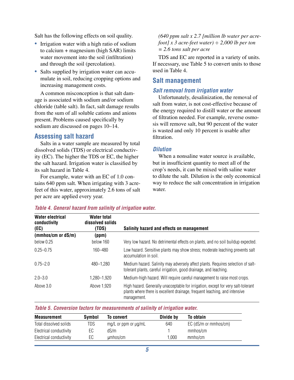Salt has the following effects on soil quality.

- Irrigation water with a high ratio of sodium to calcium + magnesium (high SAR) limits water movement into the soil (infiltration) and through the soil (percolation).
- Salts supplied by irrigation water can accumulate in soil, reducing cropping options and increasing management costs.

A common misconception is that salt damage is associated with sodium and/or sodium chloride (table salt). In fact, salt damage results from the sum of all soluble cations and anions present. Problems caused specifically by sodium are discussed on pages 10–14.

#### **Assessing salt hazard**

Salts in a water sample are measured by total dissolved solids (TDS) or electrical conductivity (EC). The higher the TDS or EC, the higher the salt hazard. Irrigation water is classified by its salt hazard in Table 4.

For example, water with an EC of 1.0 contains 640 ppm salt. When irrigating with 3 acrefeet of this water, approximately 2.6 tons of salt per acre are applied every year.

*(640 ppm salt x 2.7 [million lb water per acrefoot] x 3 acre-feet water) ÷ 2,000 lb per ton = 2.6 tons salt per acre*

TDS and EC are reported in a variety of units. If necessary, use Table 5 to convert units to those used in Table 4.

#### **Salt management**

#### *Salt removal from irrigation water*

Unfortunately, desalinization, the removal of salt from water, is not cost-effective because of the energy required to distill water or the amount of filtration needed. For example, reverse osmosis will remove salt, but 90 percent of the water is wasted and only 10 percent is usable after filtration.

#### *Dilution*

When a nonsaline water source is available, but in insufficient quantity to meet all of the crop's needs, it can be mixed with saline water to dilute the salt. Dilution is the only economical way to reduce the salt concentration in irrigation water.

| <b>Water electrical</b><br>conductivity<br>(EC) | Water total<br>dissolved solids<br>(TDS) | Salinity hazard and effects on management                                                                                                                                      |
|-------------------------------------------------|------------------------------------------|--------------------------------------------------------------------------------------------------------------------------------------------------------------------------------|
| (mmhos/cm or dS/m)                              | (ppm)                                    |                                                                                                                                                                                |
| below 0.25                                      | below 160                                | Very low hazard. No detrimental effects on plants, and no soil buildup expected.                                                                                               |
| $0.25 - 0.75$                                   | 160-480                                  | Low hazard. Sensitive plants may show stress; moderate leaching prevents salt<br>accumulation in soil.                                                                         |
| $0.75 - 2.0$                                    | 480-1,280                                | Medium hazard. Salinity may adversely affect plants. Requires selection of salt-<br>tolerant plants, careful irrigation, good drainage, and leaching.                          |
| $2.0 - 3.0$                                     | 1,280-1,920                              | Medium-high hazard. Will require careful management to raise most crops.                                                                                                       |
| Above 3.0                                       | Above 1,920                              | High hazard. Generally unacceptable for irrigation, except for very salt-tolerant<br>plants where there is excellent drainage, frequent leaching, and intensive<br>management. |

#### *Table 4. General hazard from salinity of irrigation water.*

| Table 5. Conversion factors for measurements of salinity of irrigation water. |
|-------------------------------------------------------------------------------|
|-------------------------------------------------------------------------------|

| Measurement             | Symbol | To convert                  | Divide by | To obtain             |
|-------------------------|--------|-----------------------------|-----------|-----------------------|
| Total dissolved solids  | TDS    | $mg/L$ or ppm or $\mu$ g/mL | 640       | EC (dS/m or mmhos/cm) |
| Electrical conductivity | EС     | dS/m                        |           | mmhos/cm              |
| Electrical conductivity | ЕC     | umhos/cm                    | .000      | mmho/cm               |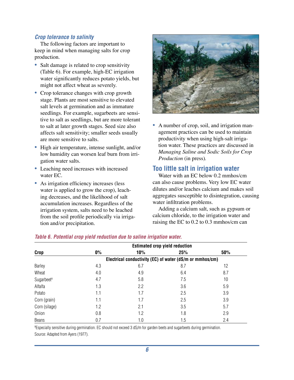#### *Crop tolerance to salinity*

The following factors are important to keep in mind when managing salts for crop production.

- Salt damage is related to crop sensitivity (Table 6). For example, high-EC irrigation water significantly reduces potato yields, but might not affect wheat as severely.
- Crop tolerance changes with crop growth stage. Plants are most sensitive to elevated salt levels at germination and as immature seedlings. For example, sugarbeets are sensitive to salt as seedlings, but are more tolerant to salt at later growth stages. Seed size also affects salt sensitivity; smaller seeds usually are more sensitive to salts.
- *•* High air temperature, intense sunlight, and/or low humidity can worsen leaf burn from irrigation water salts.
- *•* Leaching need increases with increased water EC.
- As irrigation efficiency increases (less water is applied to grow the crop), leaching decreases, and the likelihood of salt accumulation increases. Regardless of the irrigation system, salts need to be leached from the soil profile periodically via irrigation and/or precipitation.



*•* A number of crop, soil, and irrigation management practices can be used to maintain productivity when using high-salt irrigation water. These practices are discussed in *Managing Saline and Sodic Soils for Crop Production* (in press)*.*

## **Too little salt in irrigation water**

Water with an EC below 0.2 mmhos/cm can also cause problems. Very low EC water dilutes and/or leaches calcium and makes soil aggregates susceptible to disintegration, causing water infiltration problems.

Adding a calcium salt, such as gypsum or calcium chloride, to the irrigation water and raising the EC to 0.2 to 0.3 mmhos/cm can

|                        |       |                                                          | <b>Estimated crop yield reduction</b> |     |
|------------------------|-------|----------------------------------------------------------|---------------------------------------|-----|
| Crop                   | $0\%$ | 10%                                                      | 25%                                   | 50% |
|                        |       | Electrical conductivity (EC) of water (dS/m or mmhos/cm) |                                       |     |
| Barley                 | 4.3   | 6.7                                                      | 8.7                                   | 12  |
| Wheat                  | 4.0   | 4.9                                                      | 6.4                                   | 8.7 |
| Sugarbeet <sup>a</sup> | 4.7   | 5.8                                                      | 7.5                                   | 10  |
| Alfalfa                | 1.3   | 2.2                                                      | 3.6                                   | 5.9 |
| Potato                 | 1.1   | 1.7                                                      | 2.5                                   | 3.9 |
| Corn (grain)           | 1.1   | 1.7                                                      | 2.5                                   | 3.9 |
| Corn (silage)          | 1.2   | 2.1                                                      | 3.5                                   | 5.7 |
| Onion                  | 0.8   | 1.2                                                      | 1.8                                   | 2.9 |
| <b>Beans</b>           | 0.7   | 1.0                                                      | 1.5                                   | 2.4 |

#### *Table 6. Potential crop yield reduction due to saline irrigation water.*

a Especially sensitive during germination. EC should not exceed 3 dS/m for garden beets and sugarbeets during germination. Source: Adapted from Ayers (1977).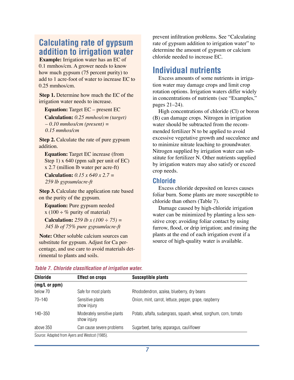# **Calculating rate of gypsum addition to irrigation water**

**Example:** Irrigation water has an EC of 0.1 mmhos/cm. A grower needs to know how much gypsum (75 percent purity) to add to 1 acre-foot of water to increase EC to 0.25 mmhos/cm.

**Step 1.** Determine how much the EC of the irrigation water needs to increase.

**Equation:** Target EC – present EC

**Calculation:** *0.25 mmhos/cm (target) – 0.10 mmhos/cm (present) = 0.15 mmhos/cm*

**Step 2.** Calculate the rate of pure gypsum addition.

**Equation:** Target EC increase (from Step 1) x 640 (ppm salt per unit of EC) x 2.7 (million lb water per acre-ft)

**Calculation:** *0.15 x 640 x 2.7 = 259 lb gypsum/acre-ft*

**Step 3.** Calculate the application rate based on the purity of the gypsum.

**Equation:** Pure gypsum needed x (100  $\div$  % purity of material)

**Calculation:** *259 lb x (100 ÷ 75) = 345 lb of 75% pure gypsum/acre-ft*

**Note:** Other soluble calcium sources can substitute for gypsum. Adjust for Ca percentage, and use care to avoid materials detrimental to plants and soils.

prevent infiltration problems. See "Calculating rate of gypsum addition to irrigation water" to determine the amount of gypsum or calcium chloride needed to increase EC.

# **Individual nutrients**

Excess amounts of some nutrients in irrigation water may damage crops and limit crop rotation options. Irrigation waters differ widely in concentrations of nutrients (see "Examples," pages 21–24).

High concentrations of chloride (Cl) or boron (B) can damage crops. Nitrogen in irrigation water should be subtracted from the recommended fertilizer N to be applied to avoid excessive vegetative growth and succulence and to minimize nitrate leaching to groundwater. Nitrogen supplied by irrigation water can substitute for fertilizer N. Other nutrients supplied by irrigation waters may also satisfy or exceed crop needs.

## **Chloride**

Excess chloride deposited on leaves causes foliar burn. Some plants are more susceptible to chloride than others (Table 7).

Damage caused by high-chloride irrigation water can be minimized by planting a less sensitive crop; avoiding foliar contact by using furrow, flood, or drip irrigation; and rinsing the plants at the end of each irrigation event if a source of high-quality water is available.

| <b>Chloride</b> | <b>Effect on crops</b>                     | <b>Susceptible plants</b>                                         |
|-----------------|--------------------------------------------|-------------------------------------------------------------------|
| (mg/L or ppm)   |                                            |                                                                   |
| below 70        | Safe for most plants                       | Rhododendron, azalea, blueberry, dry beans                        |
| $70 - 140$      | Sensitive plants<br>show injury            | Onion, mint, carrot, lettuce, pepper, grape, raspberry            |
| $140 - 350$     | Moderately sensitive plants<br>show injury | Potato, alfalfa, sudangrass, squash, wheat, sorghum, corn, tomato |
| above 350       | Can cause severe problems                  | Sugarbeet, barley, asparagus, cauliflower                         |

*Table 7. Chloride classification of irrigation water.* 

Source: Adapted from Ayers and Westcot (1985).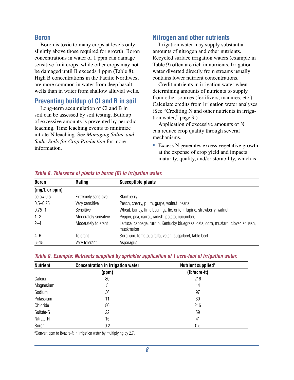#### **Boron**

Boron is toxic to many crops at levels only slightly above those required for growth. Boron concentrations in water of 1 ppm can damage sensitive fruit crops, while other crops may not be damaged until B exceeds 4 ppm (Table 8). High B concentrations in the Pacific Northwest are more common in water from deep basalt wells than in water from shallow alluvial wells.

#### **Preventing buildup of Cl and B in soil**

Long-term accumulation of Cl and B in soil can be assessed by soil testing. Buildup of excessive amounts is prevented by periodic leaching. Time leaching events to minimize nitrate-N leaching. See *Managing Saline and Sodic Soils for Crop Production* for more information.

## **Nitrogen and other nutrients**

Irrigation water may supply substantial amounts of nitrogen and other nutrients. Recycled surface irrigation waters (example in Table 9) often are rich in nutrients. Irrigation water diverted directly from streams usually contains lower nutrient concentrations.

Credit nutrients in irrigation water when determining amounts of nutrients to supply from other sources (fertilizers, manures, etc.). Calculate credits from irrigation water analyses (See "Crediting N and other nutrients in irrigation water," page 9.)

Application of excessive amounts of N can reduce crop quality through several mechanisms.

• Excess N generates excess vegetative growth at the expense of crop yield and impacts maturity, quality, and/or storability, which is

| <b>Boron</b>  | Rating               | <b>Susceptible plants</b>                                                                       |
|---------------|----------------------|-------------------------------------------------------------------------------------------------|
| (mg/L or ppm) |                      |                                                                                                 |
| below 0.5     | Extremely sensitive  | Blackberry                                                                                      |
| $0.5 - 0.75$  | Very sensitive       | Peach, cherry, plum, grape, walnut, beans                                                       |
| $0.75 - 1$    | Sensitive            | Wheat, barley, lima bean, garlic, onion, lupine, strawberry, walnut                             |
| $1 - 2$       | Moderately sensitive | Pepper, pea, carrot, radish, potato, cucumber,                                                  |
| $2 - 4$       | Moderately tolerant  | Lettuce, cabbage, turnip, Kentucky bluegrass, oats, corn, mustard, clover, squash,<br>muskmelon |
| $4 - 6$       | Tolerant             | Sorghum, tomato, alfalfa, vetch, sugarbeet, table beet                                          |
| $6 - 15$      | Very tolerant        | Asparagus                                                                                       |

#### *Table 8. Tolerance of plants to boron (B) in irrigation water.*

|  |  | Table 9. Example: Nutrients supplied by sprinkler application of 1 acre-foot of irrigation water. |
|--|--|---------------------------------------------------------------------------------------------------|
|  |  |                                                                                                   |

| <b>Nutrient</b> | <b>Concentration in irrigation water</b> | Nutrient supplied <sup>a</sup> |  |
|-----------------|------------------------------------------|--------------------------------|--|
|                 | (ppm)                                    | $(lb/acre-fit)$                |  |
| Calcium         | 80                                       | 216                            |  |
| Magnesium       | 5                                        | 14                             |  |
| Sodium          | 36                                       | 97                             |  |
| Potassium       | 11                                       | 30                             |  |
| Chloride        | 80                                       | 216                            |  |
| Sulfate-S       | 22                                       | 59                             |  |
| Nitrate-N       | 15                                       | 41                             |  |
| Boron           | 0.2                                      | 0.5                            |  |

<sup>a</sup>Convert ppm to lb/acre-ft in irrigation water by multiplying by 2.7.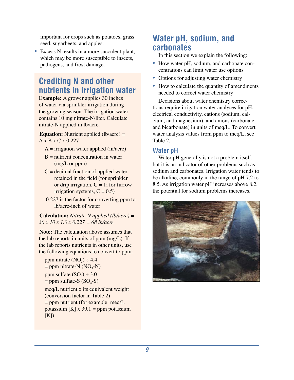important for crops such as potatoes, grass seed, sugarbeets, and apples.

*•* Excess N results in a more succulent plant, which may be more susceptible to insects, pathogens, and frost damage.

# **Crediting N and other nutrients in irrigation water**

**Example:** A grower applies 30 inches of water via sprinkler irrigation during the growing season. The irrigation water contains 10 mg nitrate-N/liter. Calculate nitrate-N applied in lb/acre.

**Equation:** Nutrient applied (lb/acre) = A x B x C x 0.227

- $A =$  irrigation water applied (in/acre)
- $B =$  nutrient concentration in water (mg/L or ppm)
- $C =$  decimal fraction of applied water retained in the field (for sprinkler or drip irrigation,  $C = 1$ ; for furrow irrigation systems,  $C = 0.5$ )
- 0.227 is the factor for converting ppm to lb/acre-inch of water

**Calculation:** *Nitrate-N applied (lb/acre) = 30 x 10 x 1.0 x 0.227 = 68 lb/acre*

**Note:** The calculation above assumes that the lab reports in units of ppm (mg/L). If the lab reports nutrients in other units, use the following equations to convert to ppm:

ppm nitrate  $(NO<sub>3</sub>) \div 4.4$  $=$  ppm nitrate-N (NO<sub>3</sub>-N) ppm sulfate  $(SO<sub>4</sub>) \div 3.0$  $=$  ppm sulfate-S (SO<sub>4</sub>-S) meq/L nutrient x its equivalent weight (conversion factor in Table 2)  $=$  ppm nutrient (for example: meq/L potassium  $[K] \times 39.1 =$  ppm potassium  $[K]$ 

# **Water pH, sodium, and carbonates**

In this section we explain the following:

- *•* How water pH, sodium, and carbonate concentrations can limit water use options
- Options for adjusting water chemistry
- How to calculate the quantity of amendments needed to correct water chemistry

Decisions about water chemistry corrections require irrigation water analyses for pH, electrical conductivity, cations (sodium, calcium, and magnesium), and anions (carbonate and bicarbonate) in units of meq/L. To convert water analysis values from ppm to meq/L, see Table 2.

## **Water pH**

Water pH generally is not a problem itself, but it is an indicator of other problems such as sodium and carbonates. Irrigation water tends to be alkaline, commonly in the range of pH 7.2 to 8.5. As irrigation water pH increases above 8.2, the potential for sodium problems increases.

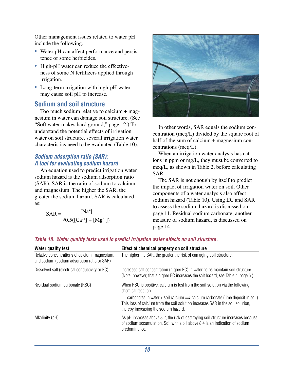Other management issues related to water pH include the following.

- Water pH can affect performance and persistence of some herbicides.
- *•* High-pH water can reduce the effectiveness of some N fertilizers applied through irrigation.
- *•* Long-term irrigation with high-pH water may cause soil pH to increase.

## **Sodium and soil structure**

Too much sodium relative to calcium + magnesium in water can damage soil structure. (See "Soft water makes hard ground," page 12.) To understand the potential effects of irrigation water on soil structure, several irrigation water characteristics need to be evaluated (Table 10).

## *Sodium adsorption ratio (SAR): A tool for evaluating sodium hazard*

An equation used to predict irrigation water sodium hazard is the sodium adsorption ratio (SAR). SAR is the ratio of sodium to calcium and magnesium. The higher the SAR, the greater the sodium hazard. SAR is calculated as:

$$
SAR = \frac{[Na^{+}]}{\sqrt{0.5([Ca^{2+}]+[Mg^{2+}])}}
$$



In other words, SAR equals the sodium concentration (meq/L) divided by the square root of half of the sum of calcium + magnesium concentrations (meq/L).

When an irrigation water analysis has cations in ppm or mg/L, they must be converted to meq/L, as shown in Table 2, before calculating SAR.

The SAR is not enough by itself to predict the impact of irrigation water on soil. Other components of a water analysis also affect sodium hazard (Table 10). Using EC and SAR to assess the sodium hazard is discussed on page 11. Residual sodium carbonate, another measure of sodium hazard, is discussed on page 14.

#### *Table 10. Water quality tests used to predict irrigation water effects on soil structure.*

| <b>Water quality test</b>                                                                     | Effect of chemical property on soil structure                                                                                                                                                                                                                                                                                 |
|-----------------------------------------------------------------------------------------------|-------------------------------------------------------------------------------------------------------------------------------------------------------------------------------------------------------------------------------------------------------------------------------------------------------------------------------|
| Relative concentrations of calcium, magnesium,<br>and sodium (sodium adsorption ratio or SAR) | The higher the SAR, the greater the risk of damaging soil structure.                                                                                                                                                                                                                                                          |
| Dissolved salt (electrical conductivity or EC)                                                | Increased salt concentration (higher EC) in water helps maintain soil structure.<br>(Note, however, that a higher EC increases the salt hazard; see Table 4, page 5.)                                                                                                                                                         |
| Residual sodium carbonate (RSC)                                                               | When RSC is positive, calcium is lost from the soil solution via the following<br>chemical reaction:<br>carbonates in water + soil calcium $\Rightarrow$ calcium carbonate (lime deposit in soil)<br>This loss of calcium from the soil solution increases SAR in the soil solution,<br>thereby increasing the sodium hazard. |
| Alkalinity (pH)                                                                               | As pH increases above 8.2, the risk of destroying soil structure increases because<br>of sodium accumulation. Soil with a pH above 8.4 is an indication of sodium<br>predominance.                                                                                                                                            |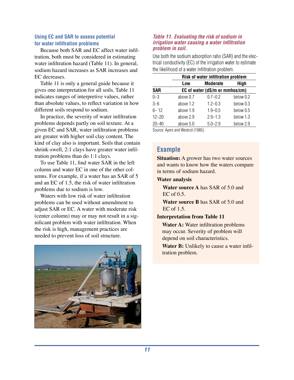#### **Using EC and SAR to assess potential for water infiltration problems**

Because both SAR and EC affect water infiltration, both must be considered in estimating water infiltration hazard (Table 11). In general, sodium hazard increases as SAR increases and EC decreases.

Table 11 is only a general guide because it gives one interpretation for all soils. Table 11 indicates ranges of interpretive values, rather than absolute values, to reflect variation in how different soils respond to sodium.

In practice, the severity of water infiltration problems depends partly on soil texture. At a given EC and SAR, water infiltration problems are greater with higher soil clay content. The kind of clay also is important. Soils that contain shrink-swell, 2:1 clays have greater water infiltration problems than do 1:1 clays.

To use Table 11, find water SAR in the left column and water EC in one of the other columns. For example, if a water has an SAR of 5 and an EC of 1.5, the risk of water infiltration problems due to sodium is low.

Waters with low risk of water infiltration problems can be used without amendment to adjust SAR or EC. A water with moderate risk (center column) may or may not result in a significant problem with water infiltration. When the risk is high, management practices are needed to prevent loss of soil structure.



#### *Table 11. Evaluating the risk of sodium in irrigation water causing a water infiltration problem in soil.*

Use both the sodium adsorption ratio (SAR) and the electrical conductivity (EC) of the irrigation water to estimate the likelihood of a water infiltration problem.

|            | Risk of water infiltration problem |                                |           |
|------------|------------------------------------|--------------------------------|-----------|
|            | Low                                | <b>Moderate</b>                | High      |
| <b>SAR</b> |                                    | EC of water (dS/m or mmhos/cm) |           |
| $0 - 3$    | above 0.7                          | $0.7 - 0.2$                    | below 0.2 |
| $3 - 6$    | above 1.2                          | $1.2 - 0.3$                    | below 0.3 |
| $6 - 12$   | above 1.9                          | $1.9 - 0.5$                    | below 0.5 |
| $12 - 20$  | above 2.9                          | $2.9 - 1.3$                    | below 1.3 |
| $20 - 40$  | above 5.0                          | $5.0 - 2.9$                    | below 2.9 |
|            | Course Avere and Western (100E)    |                                |           |

Source: Ayers and Westcot (1985).

# **Example**

**Situation:** A grower has two water sources and wants to know how the waters compare in terms of sodium hazard.

#### **Water analysis**

**Water source A** has SAR of 5.0 and  $EC of  $0.5$ .$ 

**Water source B** has SAR of 5.0 and EC of 1.5.

#### **Interpretation from Table 11**

**Water A:** Water infiltration problems may occur. Severity of problem will depend on soil characteristics.

**Water B:** Unlikely to cause a water infiltration problem.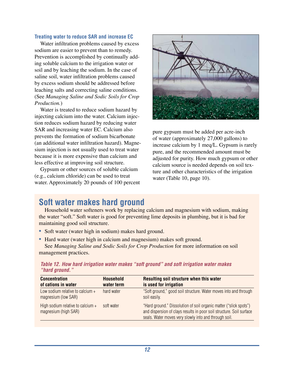#### **Treating water to reduce SAR and increase EC**

Water infiltration problems caused by excess sodium are easier to prevent than to remedy. Prevention is accomplished by continually adding soluble calcium to the irrigation water or soil and by leaching the sodium. In the case of saline soil, water infiltration problems caused by excess sodium should be addressed before leaching salts and correcting saline conditions. (See *Managing Saline and Sodic Soils for Crop Production.*)

Water is treated to reduce sodium hazard by injecting calcium into the water. Calcium injection reduces sodium hazard by reducing water SAR and increasing water EC. Calcium also prevents the formation of sodium bicarbonate (an additional water infiltration hazard). Magnesium injection is not usually used to treat water because it is more expensive than calcium and less effective at improving soil structure.

Gypsum or other sources of soluble calcium (e.g., calcium chloride) can be used to treat water. Approximately 20 pounds of 100 percent



pure gypsum must be added per acre-inch of water (approximately 27,000 gallons) to increase calcium by 1 meq/L. Gypsum is rarely pure, and the recommended amount must be adjusted for purity. How much gypsum or other calcium source is needed depends on soil texture and other characteristics of the irrigation water (Table 10, page 10).

# **Soft water makes hard ground**

High sodium relative to calcium +

magnesium (high SAR)

Household water softeners work by replacing calcium and magnesium with sodium, making the water "soft." Soft water is good for preventing lime deposits in plumbing, but it is bad for maintaining good soil structure.

- *•* Soft water (water high in sodium) makes hard ground.
- *•* Hard water (water high in calcium and magnesium) makes soft ground. See *Managing Saline and Sodic Soils for Crop Production* for more information on soil management practices.

| <i>"naro ground."</i>                                     |                                |                                                                                  |
|-----------------------------------------------------------|--------------------------------|----------------------------------------------------------------------------------|
| <b>Concentration</b><br>of cations in water               | <b>Household</b><br>water term | Resulting soil structure when this water<br>is used for irrigation               |
| Low sodium relative to calcium $+$<br>magnesium (low SAR) | hard water                     | "Soft ground," good soil structure. Water moves into and through<br>soil easily. |

*Table 12. How hard irrigation water makes "soft ground" and soft irrigation water makes "hard ground."*

| soft water | "Hard ground." Dissolution of soil organic matter ("slick spots")    |
|------------|----------------------------------------------------------------------|
|            | and dispersion of clays results in poor soil structure. Soil surface |
|            | seals. Water moves very slowly into and through soil.                |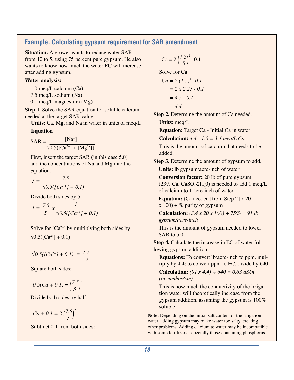## **Example. Calculating gypsum requirement for SAR amendment**

**Situation:** A grower wants to reduce water SAR from 10 to 5, using 75 percent pure gypsum. He also wants to know how much the water EC will increase after adding gypsum.

#### **Water analysis:**

1.0 meq/L calcium (Ca)

7.5 meq/L sodium (Na)

0.1 meq/L magnesium (Mg)

**Step 1.** Solve the SAR equation for soluble calcium needed at the target SAR value.

**Units:** Ca, Mg, and Na in water in units of meq/L

#### **Equation**

$$
SAR = \frac{[Na^+]}{\sqrt{0.5([Ca^{2+}]+[Mg^{2+}])}}
$$

First, insert the target SAR (in this case 5.0) and the concentrations of Na and Mg into the equation:

$$
5 = \frac{7.5}{\sqrt{0.5(\left[Ca^{2+}\right] + 0.1)}}
$$

Divide both sides by 5:

$$
I = \frac{7.5}{5} \times \frac{I}{\sqrt{0.5([Ca^{2+}J + 0.1])}}
$$

Solve for  $[Ca^{2+}]$  by multiplying both sides by  $\sqrt{0.5([Ca^{2+}]+0.1)}$ 

$$
\sqrt{0.5([Ca^{2+}]+0.1)} = \frac{7.5}{5}
$$

Square both sides:

$$
0.5(Ca + 0.1) = \left(\frac{7.5}{5}\right)^2
$$

Divide both sides by half:

$$
Ca + 0.1 = 2\left(\frac{7.5}{5}\right)^2
$$

Subtract 0.1 from both sides:

$$
Ca = 2\left(\frac{7.5}{5}\right)^2 - 0.1
$$

Solve for Ca:

$$
Ca = 2 (1.5)^{2} - 0.1
$$
  
= 2 x 2.25 - 0.1  
= 4.5 - 0.1

*= 4.4*

**Step 2.** Determine the amount of Ca needed.

**Units:** meq/L

**Equation:** Target Ca - Initial Ca in water

**Calculation:** *4.4 - 1.0 = 3.4 meq/L Ca*

This is the amount of calcium that needs to be added.

**Step 3.** Determine the amount of gypsum to add. **Units:** lb gypsum/acre-inch of water

**Conversion factor:** 20 lb of pure gypsum  $(23\% \text{ Ca}, \text{CaSO}_4\text{-}2H_20)$  is needed to add 1 meq/L of calcium to 1 acre-inch of water.

**Equation:** (Ca needed [from Step 2] x 20  $x 100$  ÷ % purity of gypsum

**Calculation:** *(3.4 x 20 x 100) ÷ 75% = 91 lb gypsum/acre-inch*

This is the amount of gypsum needed to lower SAR to 5.0.

**Step 4.** Calculate the increase in EC of water following gypsum addition.

**Equations:** To convert lb/acre-inch to ppm, multiply by 4.4; to convert ppm to EC, divide by 640

**Calculation:** *(91 x 4.4) ÷ 640 = 0.63 dS/m (or mmhos/cm)*

This is how much the conductivity of the irrigation water will theoretically increase from the gypsum addition, assuming the gypsum is 100% soluble.

**Note:** Depending on the initial salt content of the irrigation water, adding gypsum may make water too salty, creating other problems. Adding calcium to water may be incompatible with some fertilizers, especially those containing phosphorus.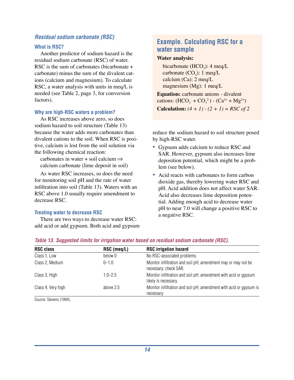#### *Residual sodium carbonate (RSC)*

#### **What is RSC?**

Another predictor of sodium hazard is the residual sodium carbonate (RSC) of water. RSC is the sum of carbonates (bicarbonate + carbonate) minus the sum of the divalent cations (calcium and magnesium). To calculate RSC, a water analysis with units in meq/L is needed (see Table 2, page 3, for conversion factors).

#### **Why are high-RSC waters a problem?**

As RSC increases above zero, so does sodium hazard to soil structure (Table 13) because the water adds more carbonates than divalent cations to the soil. When RSC is positive, calcium is lost from the soil solution via the following chemical reaction:

carbonates in water + soil calcium  $\Rightarrow$ calcium carbonate (lime deposit in soil)

As water RSC increases, so does the need for monitoring soil pH and the rate of water infiltration into soil (Table 13). Waters with an RSC above 1.0 usually require amendment to decrease RSC.

#### **Treating water to decrease RSC**

There are two ways to decrease water RSC: add acid or add gypsum. Both acid and gypsum

## **Example. Calculating RSC for a water sample**

#### **Water analysis:**

bicarbonate  $(HCO<sub>3</sub>)$ : 4 meg/L carbonate  $(CO_3)$ : 1 meq/L calcium (Ca): 2 meq/L magnesium (Mg): 1 meq/L

**Equation:** carbonate anions - divalent cations:  $(HCO_3^- + CO_3^2) - (Ca^{2+} + Mg^{2+})$ **Calculation:**  $(4 + 1) - (2 + 1) = RSC of 2$ 

reduce the sodium hazard to soil structure posed by high-RSC water.

- *•* Gypsum adds calcium to reduce RSC and SAR. However, gypsum also increases lime deposition potential, which might be a problem (see below).
- Acid reacts with carbonates to form carbon dioxide gas, thereby lowering water RSC and pH. Acid addition does not affect water SAR. Acid also decreases lime deposition potential. Adding enough acid to decrease water pH to near 7.0 will change a positive RSC to a negative RSC.

| <b>RSC class</b>   | RSC (meq/L) | <b>RSC irrigation hazard</b>                                                            |
|--------------------|-------------|-----------------------------------------------------------------------------------------|
| Class 1, Low       | below 0     | No RSC-associated problems.                                                             |
| Class 2, Medium    | $0 - 1.0$   | Monitor infiltration and soil pH; amendment may or may not be<br>necessary; check SAR.  |
| Class 3, High      | $1.0 - 2.5$ | Monitor infiltration and soil pH; amendment with acid or gypsum<br>likely is necessary. |
| Class 4, Very high | above 2.5   | Monitor infiltration and soil pH; amendment with acid or gypsum is<br>necessary.        |

#### *Table 13. Suggested limits for irrigation water based on residual sodium carbonate (RSC).*

Source: Stevens (1994).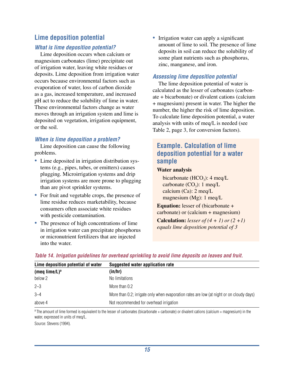# **Lime deposition potential**

#### *What is lime deposition potential?*

Lime deposition occurs when calcium or magnesium carbonates (lime) precipitate out of irrigation water, leaving white residues or deposits. Lime deposition from irrigation water occurs because environmental factors such as evaporation of water, loss of carbon dioxide as a gas, increased temperature, and increased pH act to reduce the solubility of lime in water. These environmental factors change as water moves through an irrigation system and lime is deposited on vegetation, irrigation equipment, or the soil.

## *When is lime deposition a problem?*

Lime deposition can cause the following problems.

- *•* Lime deposited in irrigation distribution systems (e.g., pipes, tubes, or emitters) causes plugging. Microirrigation systems and drip irrigation systems are more prone to plugging than are pivot sprinkler systems.
- For fruit and vegetable crops, the presence of lime residue reduces marketability, because consumers often associate white residues with pesticide contamination.
- The presence of high concentrations of lime in irrigation water can precipitate phosphorus or micronutrient fertilizers that are injected into the water.

• Irrigation water can apply a significant amount of lime to soil. The presence of lime deposits in soil can reduce the solubility of some plant nutrients such as phosphorus, zinc, manganese, and iron.

### *Assessing lime deposition potential*

The lime deposition potential of water is calculated as the lesser of carbonates (carbonate + bicarbonate) or divalent cations (calcium + magnesium) present in water. The higher the number, the higher the risk of lime deposition. To calculate lime deposition potential, a water analysis with units of meq/L is needed (see Table 2, page 3, for conversion factors).

## **Example. Calculation of lime deposition potential for a water sample**

#### **Water analysis**

bicarbonate  $(HCO<sub>3</sub>)$ : 4 meg/L carbonate  $(CO_3)$ : 1 meq/L calcium (Ca): 2 meq/L magnesium (Mg): 1 meq/L

**Equation:** lesser of (bicarbonate + carbonate) or (calcium + magnesium)

**Calculation:** *lesser of (4 + 1) or (2 +1) equals lime deposition potential of 3*

| Lime deposition potential of water | Suggested water application rate                                                         |  |
|------------------------------------|------------------------------------------------------------------------------------------|--|
| (meq lime/L) <sup>a</sup>          | (in/hr)                                                                                  |  |
| below 2                            | No limitations                                                                           |  |
| $2 - 3$                            | More than 0.2                                                                            |  |
| $3 - 4$                            | More than 0.2; irrigate only when evaporation rates are low (at night or on cloudy days) |  |
| above 4                            | Not recommended for overhead irrigation                                                  |  |

#### *Table 14. Irrigation guidelines for overhead sprinkling to avoid lime deposits on leaves and fruit.*

 $a$  The amount of lime formed is equivalent to the lesser of carbonates (bicarbonate + carbonate) or divalent cations (calcium + magnesium) in the water, expressed in units of meq/L.

Source: Stevens (1994).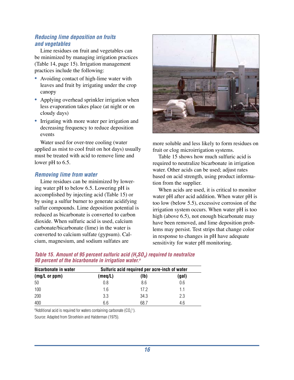#### *Reducing lime deposition on fruits and vegetables*

Lime residues on fruit and vegetables can be minimized by managing irrigation practices (Table 14, page 15). Irrigation management practices include the following:

- Avoiding contact of high-lime water with leaves and fruit by irrigating under the crop canopy
- Applying overhead sprinkler irrigation when less evaporation takes place (at night or on cloudy days)
- Irrigating with more water per irrigation and decreasing frequency to reduce deposition events

Water used for over-tree cooling (water applied as mist to cool fruit on hot days) usually must be treated with acid to remove lime and lower pH to 6.5.

#### *Removing lime from water*

Lime residues can be minimized by lowering water pH to below 6.5. Lowering pH is accomplished by injecting acid (Table 15) or by using a sulfur burner to generate acidifying sulfur compounds. Lime deposition potential is reduced as bicarbonate is converted to carbon dioxide. When sulfuric acid is used, calcium carbonate/bicarbonate (lime) in the water is converted to calcium sulfate (gypsum). Calcium, magnesium, and sodium sulfates are



more soluble and less likely to form residues on fruit or clog microirrigation systems.

Table 15 shows how much sulfuric acid is required to neutralize bicarbonate in irrigation water. Other acids can be used; adjust rates based on acid strength, using product information from the supplier.

When acids are used, it is critical to monitor water pH after acid addition. When water pH is too low (below 5.5), excessive corrosion of the irrigation system occurs. When water pH is too high (above 6.5), not enough bicarbonate may have been removed, and lime deposition problems may persist. Test strips that change color in response to changes in pH have adequate sensitivity for water pH monitoring.

| <b>Bicarbonate in water</b> | Sulfuric acid required per acre-inch of water |      |       |  |
|-----------------------------|-----------------------------------------------|------|-------|--|
| (mg/L or ppm)               | (meq/L)                                       | (1b) | (gal) |  |
| 50                          | 0.8                                           | 8.6  | 0.6   |  |
| 100                         | 1.6                                           | 17.2 | 1.1   |  |
| 200                         | 3.3                                           | 34.3 | 2.3   |  |
| 400                         | 6.6                                           | 68.7 | 4.6   |  |

*Table 15. Amount of 95 percent sulfuric acid (H<sub>2</sub>SO<sub>4</sub>) required to neutralize 90 percent of the bicarbonate in irrigation water.a*

<sup>a</sup>Additional acid is required for waters containing carbonate  $(CO_3^2)$ .

Source: Adapted from Stroehlein and Halderman (1975).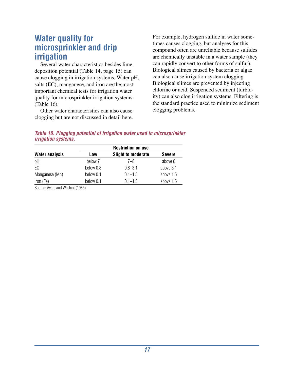# **Water quality for microsprinkler and drip irrigation**

Several water characteristics besides lime deposition potential (Table 14, page 15) can cause clogging in irrigation systems. Water pH, salts (EC), manganese, and iron are the most important chemical tests for irrigation water quality for microsprinkler irrigation systems (Table 16).

Other water characteristics can also cause clogging but are not discussed in detail here.

For example, hydrogen sulfide in water sometimes causes clogging, but analyses for this compound often are unreliable because sulfides are chemically unstable in a water sample (they can rapidly convert to other forms of sulfur). Biological slimes caused by bacteria or algae can also cause irrigation system clogging. Biological slimes are prevented by injecting chlorine or acid. Suspended sediment (turbidity) can also clog irrigation systems. Filtering is the standard practice used to minimize sediment clogging problems.

#### *Table 16. Plugging potential of irrigation water used in microsprinkler irrigation systems.*

|                       | <b>Restriction on use</b> |                           |               |  |  |
|-----------------------|---------------------------|---------------------------|---------------|--|--|
| <b>Water analysis</b> | Low                       | <b>Slight to moderate</b> | <b>Severe</b> |  |  |
| pH                    | below 7                   | $7 - 8$                   | above 8       |  |  |
| EC                    | below 0.8                 | $0.8 - 3.1$               | above 3.1     |  |  |
| Manganese (Mn)        | below 0.1                 | $0.1 - 1.5$               | above 1.5     |  |  |
| Iron (Fe)             | below 0.1                 | $0.1 - 1.5$               | above 1.5     |  |  |

Source: Ayers and Westcot (1985).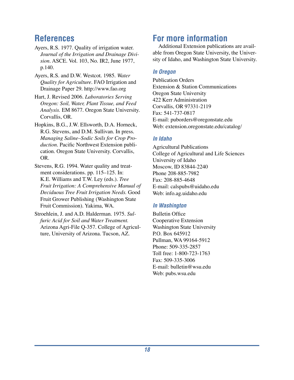# **References**

- Ayers, R.S. 1977. Quality of irrigation water. *Journal of the Irrigation and Drainage Division*. ASCE. Vol. 103, No. IR2, June 1977, p.140.
- Ayers, R.S. and D.W. Westcot. 1985. *Water Quality for Agriculture*. FAO Irrigation and Drainage Paper 29. http://www.fao.org
- Hart, J. Revised 2006. *Laboratories Serving Oregon: Soil, Water, Plant Tissue, and Feed Analysis.* EM 8677. Oregon State University. Corvallis, OR.
- Hopkins, B.G., J.W. Ellsworth, D.A. Horneck, R.G. Stevens, and D.M. Sullivan. In press. *Managing Saline–Sodic Soils for Crop Production*. Pacific Northwest Extension publication. Oregon State University. Corvallis, OR.
- Stevens, R.G. 1994. Water quality and treatment considerations. pp. 115–125. In: K.E. Williams and T.W. Ley (eds.). *Tree Fruit Irrigation: A Comprehensive Manual of Deciduous Tree Fruit Irrigation Needs.* Good Fruit Grower Publishing (Washington State Fruit Commission). Yakima, WA.
- Stroehlein, J. and A.D. Halderman. 1975. *Sulfuric Acid for Soil and Water Treatment.* Arizona Agri-File Q-357. College of Agriculture, University of Arizona. Tucson, AZ.

# **For more information**

Additional Extension publications are available from Oregon State University, the University of Idaho, and Washington State University.

## *In Oregon*

Publication Orders Extension & Station Communications Oregon State University 422 Kerr Administration Corvallis, OR 97331-2119 Fax: 541-737-0817 E-mail: puborders@oregonstate.edu Web: extension.oregonstate.edu/catalog/

## *In Idaho*

Agricultural Publications College of Agricultural and Life Sciences University of Idaho Moscow, ID 83844-2240 Phone 208-885-7982 Fax: 208-885-4648 E-mail: calspubs@uidaho.edu Web: info.ag.uidaho.edu

## *In Washington*

Bulletin Office Cooperative Extension Washington State University P.O. Box 645912 Pullman, WA 99164-5912 Phone: 509-335-2857 Toll free: 1-800-723-1763 Fax: 509-335-3006 E-mail: bulletin@wsu.edu Web: pubs.wsu.edu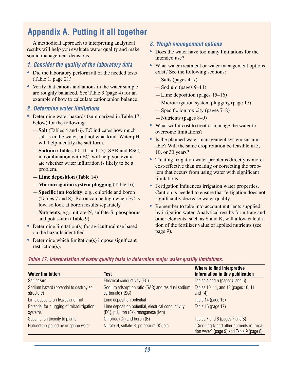# **Appendix A. Putting it all together**

A methodical approach to interpreting analytical results will help you evaluate water quality and make sound management decisions.

#### *1. Consider the quality of the laboratory data*

- Did the laboratory perform all of the needed tests (Table 1, page 2)?
- *•* Verify that cations and anions in the water sample are roughly balanced. See Table 3 (page 4) for an example of how to calculate cation:anion balance.

#### *2. Determine water limitations*

- Determine water hazards (summarized in Table 17, below) for the following:
	- —**Salt** (Tables 4 and 6). EC indicates how much salt is in the water, but not what kind. Water pH will help identify the salt form.
	- —**Sodium** (Tables 10, 11, and 13). SAR and RSC, in combination with EC, will help you evaluate whether water infiltration is likely to be a problem.
	- —**Lime deposition** (Table 14)
	- —**Microirrigation system plugging** (Table 16)
	- —**Specific ion toxicity**, e.g., chloride and boron (Tables 7 and 8). Boron can be high when EC is low, so look at boron results separately.
	- —**Nutrients**, e.g., nitrate-N, sulfate-S, phosphorus, and potassium (Table 9)
- Determine limitation(s) for agricultural use based on the hazards identified.
- Determine which limitation(s) impose significant restriction(s).

#### *3. Weigh management options*

- Does the water have too many limitations for the intended use?
- What water treatment or water management options exist? See the following sections:
	- —Salts (pages 4–7)
	- —Sodium (pages 9–14)
	- —Lime deposition (pages 15–16)
	- —Microirrigation system plugging (page 17)
	- —Specific ion toxicity (pages 7–8)
	- —Nutrients (pages 8–9)
- What will it cost to treat or manage the water to overcome limitations?
- *•* Is the planned water management system sustainable? Will the same crop rotation be feasible in 5, 10, or 30 years?
- Treating irrigation water problems directly is more cost-effective than treating or correcting the problem that occurs from using water with significant limitations.
- Fertigation influences irrigation water properties. Caution is needed to ensure that fertigation does not significantly decrease water quality.
- Remember to take into account nutrients supplied by irrigation water. Analytical results for nitrate and other elements, such as S and K, will allow calculation of the fertilizer value of applied nutrients (see page 9).

| <b>Water limitation</b>                                | <b>Test</b>                                                                               | Where to find interpretive<br>information in this publication                            |
|--------------------------------------------------------|-------------------------------------------------------------------------------------------|------------------------------------------------------------------------------------------|
| Salt hazard                                            | Electrical conductivity (EC)                                                              | Tables 4 and 6 (pages 5 and 6)                                                           |
| Sodium hazard (potential to destroy soil<br>structure) | Sodium adsorption ratio (SAR) and residual sodium<br>carbonate (RSC)                      | Tables 10, 11, and 13 (pages 10, 11,<br>and $14$ )                                       |
| Lime deposits on leaves and fruit                      | Lime deposition potential                                                                 | Table 14 (page 15)                                                                       |
| Potential for plugging of microirrigation<br>systems   | Lime deposition potential, electrical conductivity<br>(EC), pH, iron (Fe), manganese (Mn) | Table 16 (page 17)                                                                       |
| Specific ion toxicity to plants                        | Chloride (CI) and boron (B)                                                               | Tables 7 and 8 (pages 7 and 8)                                                           |
| Nutrients supplied by irrigation water                 | Nitrate-N, sulfate-S, potassium (K), etc.                                                 | "Crediting N and other nutrients in irriga-<br>tion water" (page 9) and Table 9 (page 8) |

#### *Table 17. Interpretation of water quality tests to determine major water quality limitations.*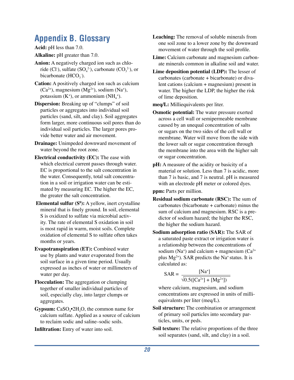# **Appendix B. Glossary**

**Acid:** pH less than 7.0.

**Alkaline:** pH greater than 7.0.

- **Anion:** A negatively charged ion such as chloride (Cl<sup>-</sup>), sulfate  $(SO_4^2)$ , carbonate  $(CO_3^2)$ , or bicarbonate  $(HCO<sub>3</sub>)$ .
- **Cation:** A positively charged ion such as calcium  $(Ca<sup>2+</sup>)$ , magnesium  $(Mg<sup>2+</sup>)$ , sodium  $(Na<sup>+</sup>)$ , potassium  $(K^+)$ , or ammonium  $(NH_4^+)$ .
- **Dispersion:** Breaking up of "clumps" of soil particles or aggregates into individual soil particles (sand, silt, and clay). Soil aggregates form larger, more continuous soil pores than do individual soil particles. The larger pores provide better water and air movement.
- **Drainage:** Unimpeded downward movement of water beyond the root zone.
- **Electrical conductivity (EC):** The ease with which electrical current passes through water. EC is proportional to the salt concentration in the water. Consequently, total salt concentration in a soil or irrigation water can be estimated by measuring EC. The higher the EC, the greater the salt concentration.
- **Elemental sulfur (S<sup>0</sup>):** A yellow, inert crystalline mineral that is finely ground. In soil, elemental S is oxidized to sulfate via microbial activity. The rate of elemental S oxidation in soil is most rapid in warm, moist soils. Complete oxidation of elemental S to sulfate often takes months or years.
- **Evapotranspiration (ET):** Combined water use by plants and water evaporated from the soil surface in a given time period. Usually expressed as inches of water or millimeters of water per day.
- **Flocculation:** The aggregation or clumping together of smaller individual particles of soil, especially clay, into larger clumps or aggregates.
- **Gypsum:** CaSO<sub>4</sub>•2H<sub>2</sub>O, the common name for calcium sulfate. Applied as a source of calcium to reclaim sodic and saline–sodic soils.

**Infiltration:** Entry of water into soil.

- **Leaching:** The removal of soluble minerals from one soil zone to a lower zone by the downward movement of water through the soil profile.
- **Lime:** Calcium carbonate and magnesium carbonate minerals common in alkaline soil and water.
- **Lime deposition potential (LDP):** The lesser of carbonates (carbonate + bicarbonate) or divalent cations (calcium + magnesium) present in water. The higher the LDP, the higher the risk of lime deposition.
- **meq/L:** Milliequivalents per liter.
- **Osmotic potential:** The water pressure exerted across a cell wall or semipermeable membrane caused by an unequal concentration of salts or sugars on the two sides of the cell wall or membrane. Water will move from the side with the lower salt or sugar concentration through the membrane into the area with the higher salt or sugar concentration.
- **pH:** A measure of the acidity or basicity of a material or solution. Less than 7 is acidic, more than 7 is basic, and 7 is neutral. pH is measured with an electrode pH meter or colored dyes.

**ppm:** Parts per million.

- **Residual sodium carbonate (RSC):** The sum of carbonates (bicarbonate + carbonate) minus the sum of calcium and magnesium. RSC is a predictor of sodium hazard; the higher the RSC, the higher the sodium hazard.
- **Sodium adsorption ratio (SAR):** The SAR of a saturated paste extract or irrigation water is a relationship between the concentrations of sodium (Na<sup>+</sup>) and calcium + magnesium (Ca<sup>2+</sup> plus  $Mg^{2+}$ ). SAR predicts the Na<sup>+</sup> status. It is calculated as:

$$
SAR = \frac{[Na^{+}]}{\sqrt{0.5([Ca^{2+}]+[Mg^{2+}])}}
$$

where calcium, magnesium, and sodium concentrations are expressed in units of milliequivalents per liter (meq/L).

- **Soil structure:** The combination or arrangement of primary soil particles into secondary particles, units, or peds.
- **Soil texture:** The relative proportions of the three soil separates (sand, silt, and clay) in a soil.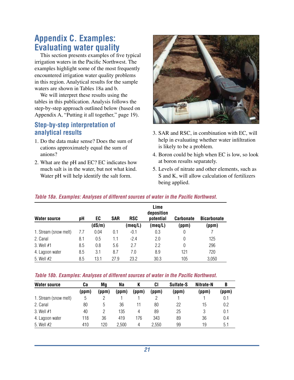# **Appendix C. Examples: Evaluating water quality**

This section presents examples of five typical irrigation waters in the Pacific Northwest. The examples highlight some of the most frequently encountered irrigation water quality problems in this region. Analytical results for the sample waters are shown in Tables 18a and b.

We will interpret these results using the tables in this publication. Analysis follows the step-by-step approach outlined below (based on Appendix A, "Putting it all together," page 19).

# **Step-by-step interpretation of analytical results**

- 1. Do the data make sense? Does the sum of cations approximately equal the sum of anions?
- 2. What are the pH and EC? EC indicates how much salt is in the water, but not what kind. Water pH will help identify the salt form.



- 3. SAR and RSC, in combination with EC, will help in evaluating whether water infiltration is likely to be a problem.
- 4. Boron could be high when EC is low, so look at boron results separately.
- 5. Levels of nitrate and other elements, such as S and K, will allow calculation of fertilizers being applied.

|  |  | Table 18a. Examples: Analyses of different sources of water in the Pacific Northwest. |  |  |
|--|--|---------------------------------------------------------------------------------------|--|--|
|  |  |                                                                                       |  |  |

| <b>Water source</b>   | pН  | EC     | <b>SAR</b> | <b>RSC</b> | Lime<br>deposition<br>potential | <b>Carbonate</b> | <b>Bicarbonate</b> |
|-----------------------|-----|--------|------------|------------|---------------------------------|------------------|--------------------|
|                       |     | (dS/m) |            | (meq/L)    | (meq/L)                         | (ppm)            | (ppm)              |
| 1. Stream (snow melt) | 7.7 | 0.04   | 0.1        | $-0.1$     | 0.3                             | 0                |                    |
| 2. Canal              | 8.1 | 0.5    | 1.1        | $-2.4$     | 2.0                             | 0                | 125                |
| 3. Well #1            | 8.5 | 0.8    | 5.6        | 2.7        | 2.2                             | $\Omega$         | 296                |
| 4. Lagoon water       | 8.5 | 3.1    | 8.7        | 7.0        | 8.9                             | 121              | 720                |
| 5. Well #2            | 8.5 | 13.1   | 27.9       | 23.2       | 30.3                            | 105              | 3,050              |

#### *Table 18b. Examples: Analyses of different sources of water in the Pacific Northwest.*

| <b>Water source</b>   | Ca    | Mg    | Na    |       | CI    | Sulfate-S | Nitrate-N | B     |
|-----------------------|-------|-------|-------|-------|-------|-----------|-----------|-------|
|                       | (ppm) | (ppm) | (ppm) | (ppm) | (ppm) | (ppm)     | (ppm)     | (ppm) |
| 1. Stream (snow melt) | 5     |       |       |       |       |           |           | 0.1   |
| 2. Canal              | 80    | 5     | 36    |       | 80    | 22        | 15        | 0.2   |
| 3. Well $#1$          | 40    |       | 135   | 4     | 89    | 25        |           | 0.1   |
| 4. Lagoon water       | 118   | 36    | 419   | 176   | 343   | 89        | 36        | 0.4   |
| 5. Well #2            | 410   | 120   | 2,500 | 4     | 2,550 | 99        | 19        | 5.1   |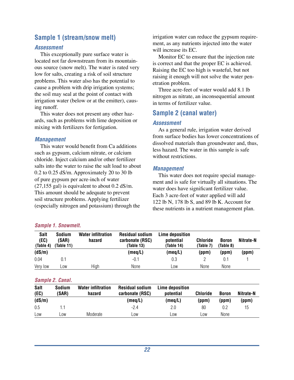# **Sample 1 (stream/snow melt)**

#### *Assessment*

This exceptionally pure surface water is located not far downstream from its mountainous source (snow melt). The water is rated very low for salts, creating a risk of soil structure problems. This water also has the potential to cause a problem with drip irrigation systems; the soil may seal at the point of contact with irrigation water (below or at the emitter), causing runoff.

This water does not present any other hazards, such as problems with lime deposition or mixing with fertilizers for fertigation.

#### *Management*

This water would benefit from Ca additions such as gypsum, calcium nitrate, or calcium chloride. Inject calcium and/or other fertilizer salts into the water to raise the salt load to about 0.2 to 0.25 dS/m. Approximately 20 to 30 lb of pure gypsum per acre-inch of water (27,155 gal) is equivalent to about 0.2 dS/m. This amount should be adequate to prevent soil structure problems. Applying fertilizer (especially nitrogen and potassium) through the

#### irrigation water can reduce the gypsum requirement, as any nutrients injected into the water will increase its EC.

Monitor EC to ensure that the injection rate is correct and that the proper EC is achieved. Raising the EC too high is wasteful, but not raising it enough will not solve the water penetration problem.

Three acre-feet of water would add 8.1 lb nitrogen as nitrate, an inconsequential amount in terms of fertilizer value.

# **Sample 2 (canal water)**

#### *Assessment*

As a general rule, irrigation water derived from surface bodies has lower concentrations of dissolved materials than groundwater and, thus, less hazard. The water in this sample is safe without restrictions.

#### *Management*

This water does not require special management and is safe for virtually all situations. The water does have significant fertilizer value. Each 3 acre-feet of water applied will add 122 lb N, 178 lb S, and 89 lb K. Account for these nutrients in a nutrient management plan.

#### *Sample 1. Snowmelt.*

| <b>Salt</b><br>(EC)<br>(Table 4) | <b>Sodium</b><br>(SAR)<br>(Table 11) | <b>Water infiltration</b><br>hazard | <b>Residual sodium</b><br>carbonate (RSC)<br>(Table 13) | Lime deposition<br>potential<br>(Table 14) | <b>Chloride</b><br>(Table 7) | <b>Boron</b><br>(Table 8) | Nitrate-N |
|----------------------------------|--------------------------------------|-------------------------------------|---------------------------------------------------------|--------------------------------------------|------------------------------|---------------------------|-----------|
| (dS/m)                           |                                      |                                     | (meq/L)                                                 | (meq/L)                                    | (ppm)                        | (ppm)                     | (ppm)     |
| 0.04                             | 0.1                                  |                                     | $-0.1$                                                  | 0.3                                        |                              | 0.1                       |           |
| Very low                         | _0W                                  | High                                | None                                                    | Low                                        | None                         | None                      |           |

#### *Sample 2. Canal.*

| <b>Salt</b><br>(EC) | <b>Sodium</b><br>(SAR) | <b>Water infiltration</b><br>hazard | <b>Residual sodium</b><br>carbonate (RSC) | Lime deposition<br>potential | <b>Chloride</b> | <b>Boron</b> | Nitrate-N |
|---------------------|------------------------|-------------------------------------|-------------------------------------------|------------------------------|-----------------|--------------|-----------|
| (dS/m)              |                        |                                     | (meq/L)                                   | (meq/L)                      | (ppm)           | (ppm)        | (ppm)     |
| 0.5                 |                        |                                     | $-2.4$                                    | 2.0                          | 80              | 0.2          | 15        |
| Low                 | _0W                    | Moderate                            | LOW                                       | _0W                          | _0W             | None         |           |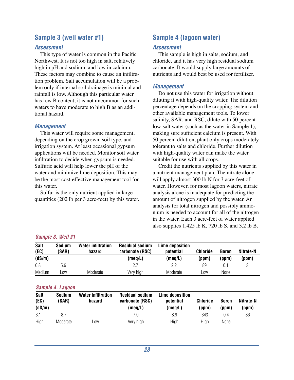# **Sample 3 (well water #1)**

#### *Assessment*

This type of water is common in the Pacific Northwest. It is not too high in salt, relatively high in pH and sodium, and low in calcium. These factors may combine to cause an infiltration problem. Salt accumulation will be a problem only if internal soil drainage is minimal and rainfall is low. Although this particular water has low B content, it is not uncommon for such waters to have moderate to high B as an additional hazard.

#### *Management*

This water will require some management, depending on the crop grown, soil type, and irrigation system. At least occasional gypsum applications will be needed. Monitor soil water infiltration to decide when gypsum is needed. Sulfuric acid will help lower the pH of the water and minimize lime deposition. This may be the most cost-effective management tool for this water.

Sulfur is the only nutrient applied in large quantities (202 lb per 3 acre-feet) by this water.

# **Sample 4 (lagoon water)**

#### *Assessment*

This sample is high in salts, sodium, and chloride, and it has very high residual sodium carbonate. It would supply large amounts of nutrients and would best be used for fertilizer.

#### *Management*

Do not use this water for irrigation without diluting it with high-quality water. The dilution percentage depends on the cropping system and other available management tools. To lower salinity, SAR, and RSC, dilute with 50 percent low-salt water (such as the water in Sample 1), making sure sufficient calcium is present. With 50 percent dilution, plant only crops moderately tolerant to salts and chloride. Further dilution with high-quality water can make the water suitable for use with all crops.

Credit the nutrients supplied by this water in a nutrient management plan. The nitrate alone will apply almost 300 lb N for 3 acre-feet of water. However, for most lagoon waters, nitrate analysis alone is inadequate for predicting the amount of nitrogen supplied by the water. An analysis for total nitrogen and possibly ammonium is needed to account for all of the nitrogen in the water. Each 3 acre-feet of water applied also supplies  $1,425$  lb K, 720 lb S, and 3.2 lb B.

#### *Sample 3. Well #1*

| <b>Salt</b><br>(EC) | <b>Sodium</b><br>(SAR) | <b>Water infiltration</b><br>hazard | <b>Residual sodium</b><br>carbonate (RSC) | Lime deposition<br>potential | <b>Chloride</b> | <b>Boron</b> | Nitrate-N |
|---------------------|------------------------|-------------------------------------|-------------------------------------------|------------------------------|-----------------|--------------|-----------|
| (dS/m)              |                        |                                     | (meq/L)                                   | (meg/L)                      | (ppm)           | (ppm)        | (ppm)     |
| 0.8                 | 5.6                    |                                     | 2.7                                       | 2.2                          | 89              | 0.1          |           |
| Medium              | $-0W$                  | Moderate                            | Very high                                 | Moderate                     | LOW             | None         |           |

#### *Sample 4. Lagoon*

| <b>Salt</b><br>(EC) | <b>Sodium</b><br>(SAR) | <b>Water infiltration</b><br>hazard | <b>Residual sodium</b><br>carbonate (RSC) | Lime deposition<br>potential | <b>Chloride</b> | <b>Boron</b> | Nitrate-N |
|---------------------|------------------------|-------------------------------------|-------------------------------------------|------------------------------|-----------------|--------------|-----------|
| (dS/m)              |                        |                                     | (meq/L)                                   | (meq/L)                      | (ppm)           | (ppm)        | (ppm)     |
| 3.1                 |                        |                                     | 7.0                                       | 8.9                          | 343             | 0.4          | 36        |
| High                | Moderate               | _0W                                 | Very high                                 | High                         | High            | None         |           |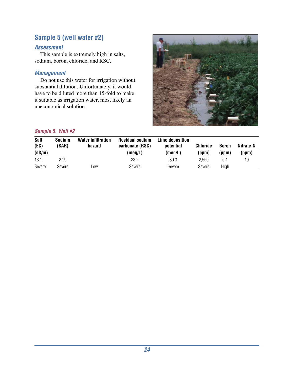# **Sample 5 (well water #2)**

## *Assessment*

This sample is extremely high in salts, sodium, boron, chloride, and RSC.

## *Management*

Do not use this water for irrigation without substantial dilution. Unfortunately, it would have to be diluted more than 15-fold to make it suitable as irrigation water, most likely an uneconomical solution.



#### *Sample 5. Well #2*

| <b>Salt</b><br>(EC) | <b>Sodium</b><br>(SAR) | <b>Water infiltration</b><br>hazard | <b>Residual sodium</b><br>carbonate (RSC) | Lime deposition<br>potential | <b>Chloride</b> | <b>Boron</b> | Nitrate-N |
|---------------------|------------------------|-------------------------------------|-------------------------------------------|------------------------------|-----------------|--------------|-----------|
| (dS/m)              |                        |                                     | (meq/L)                                   | (meq/L)                      | (ppm)           | (ppm)        | (ppm)     |
| 13.1                | 27.9                   |                                     | 23.2                                      | 30.3                         | 2.550           | 5.1          | 19        |
| Severe              | Severe                 | _0W                                 | Severe                                    | Severe                       | Severe          | High         |           |